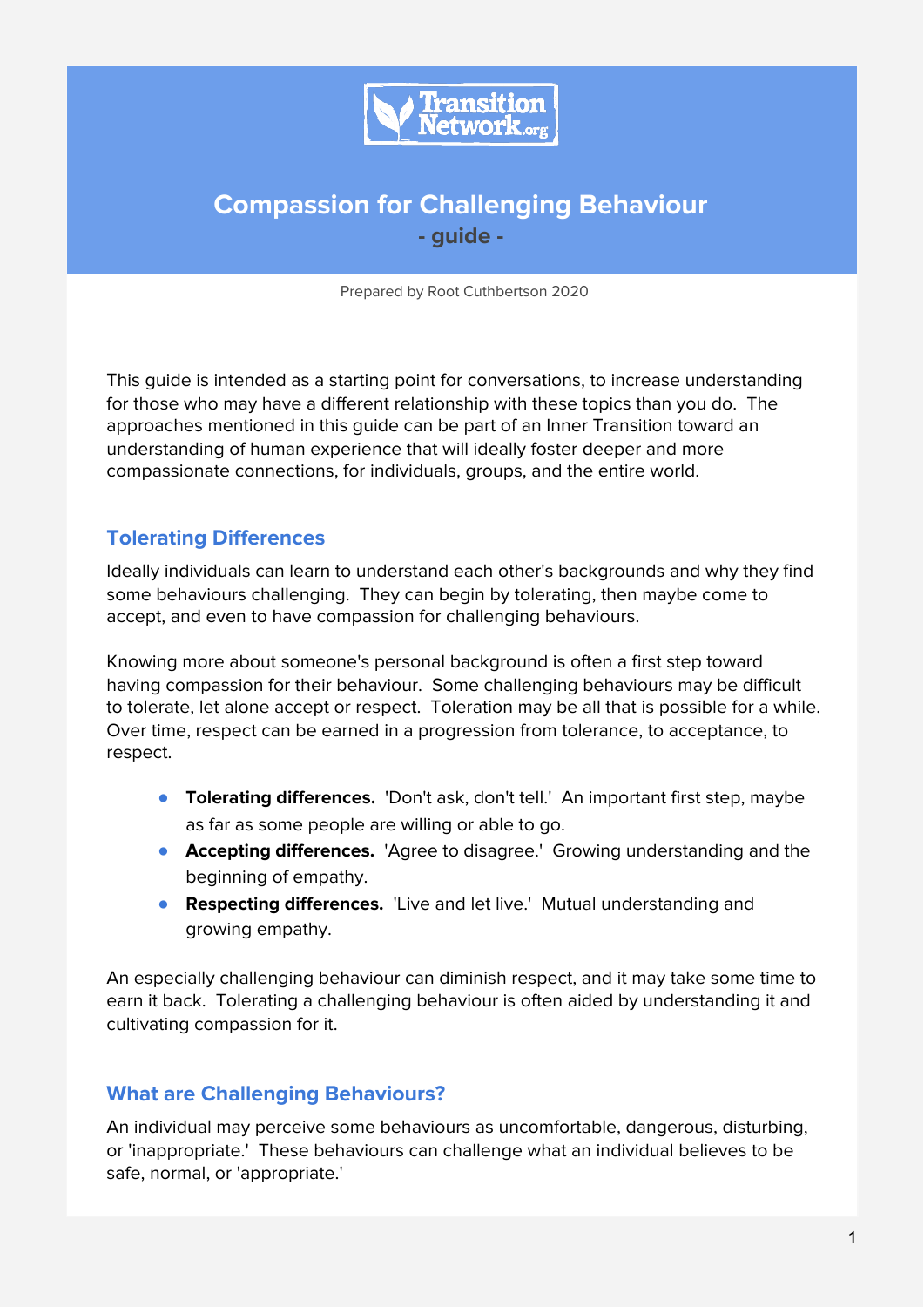

# **Compassion for Challenging Behaviour - guide -**

Prepared by Root Cuthbertson 2020

This guide is intended as a starting point for conversations, to increase understanding for those who may have a different relationship with these topics than you do. The approaches mentioned in this guide can be part of an Inner Transition toward an understanding of human experience that will ideally foster deeper and more compassionate connections, for individuals, groups, and the entire world.

## **Tolerating Differences**

Ideally individuals can learn to understand each other's backgrounds and why they find some behaviours challenging. They can begin by tolerating, then maybe come to accept, and even to have compassion for challenging behaviours.

Knowing more about someone's personal background is often a first step toward having compassion for their behaviour. Some challenging behaviours may be difficult to tolerate, let alone accept or respect. Toleration may be all that is possible for a while. Over time, respect can be earned in a progression from tolerance, to acceptance, to respect.

- **Tolerating differences.** 'Don't ask, don't tell.' An important first step, maybe as far as some people are willing or able to go.
- **Accepting differences.** 'Agree to disagree.' Growing understanding and the beginning of empathy.
- **Respecting differences.** 'Live and let live.' Mutual understanding and growing empathy.

An especially challenging behaviour can diminish respect, and it may take some time to earn it back. Tolerating a challenging behaviour is often aided by understanding it and cultivating compassion for it.

### **What are Challenging Behaviours?**

An individual may perceive some behaviours as uncomfortable, dangerous, disturbing, or 'inappropriate.' These behaviours can challenge what an individual believes to be safe, normal, or 'appropriate.'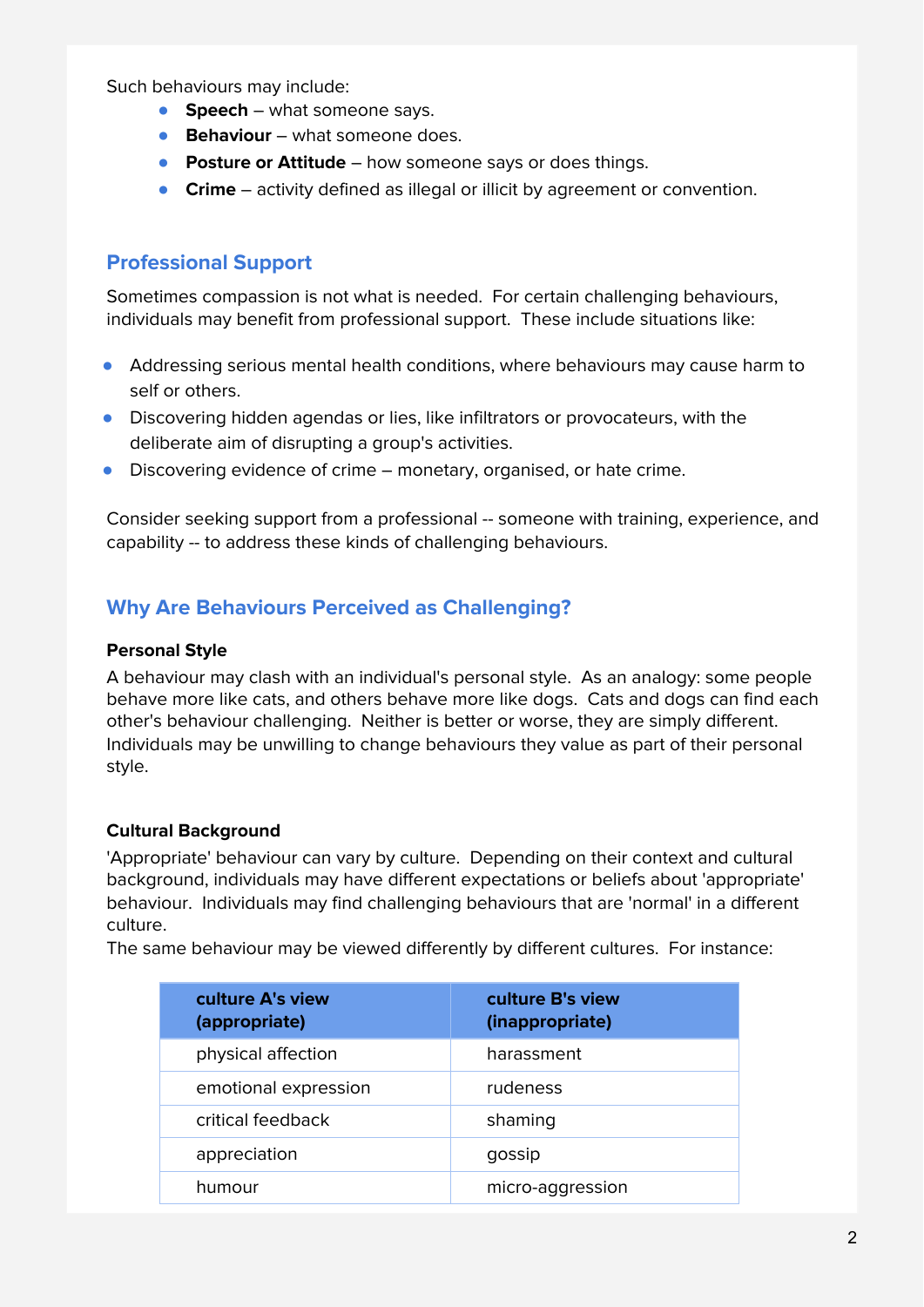Such behaviours may include:

- **Speech** what someone says.
- **Behaviour** what someone does.
- **Posture or Attitude** how someone says or does things.
- **Crime** activity defined as illegal or illicit by agreement or convention.

## **Professional Support**

Sometimes compassion is not what is needed. For certain challenging behaviours, individuals may benefit from professional support. These include situations like:

- Addressing serious mental health conditions, where behaviours may cause harm to self or others.
- Discovering hidden agendas or lies, like infiltrators or provocateurs, with the deliberate aim of disrupting a group's activities.
- Discovering evidence of crime monetary, organised, or hate crime.

Consider seeking support from a professional -- someone with training, experience, and capability -- to address these kinds of challenging behaviours.

## **Why Are Behaviours Perceived as Challenging?**

#### **Personal Style**

A behaviour may clash with an individual's personal style. As an analogy: some people behave more like cats, and others behave more like dogs. Cats and dogs can find each other's behaviour challenging. Neither is better or worse, they are simply different. Individuals may be unwilling to change behaviours they value as part of their personal style.

### **Cultural Background**

'Appropriate' behaviour can vary by culture. Depending on their context and cultural background, individuals may have different expectations or beliefs about 'appropriate' behaviour. Individuals may find challenging behaviours that are 'normal' in a different culture.

The same behaviour may be viewed differently by different cultures. For instance:

| culture A's view<br>(appropriate) | culture B's view<br>(inappropriate) |
|-----------------------------------|-------------------------------------|
| physical affection                | harassment                          |
| emotional expression              | rudeness                            |
| critical feedback                 | shaming                             |
| appreciation                      | gossip                              |
| humour                            | micro-aggression                    |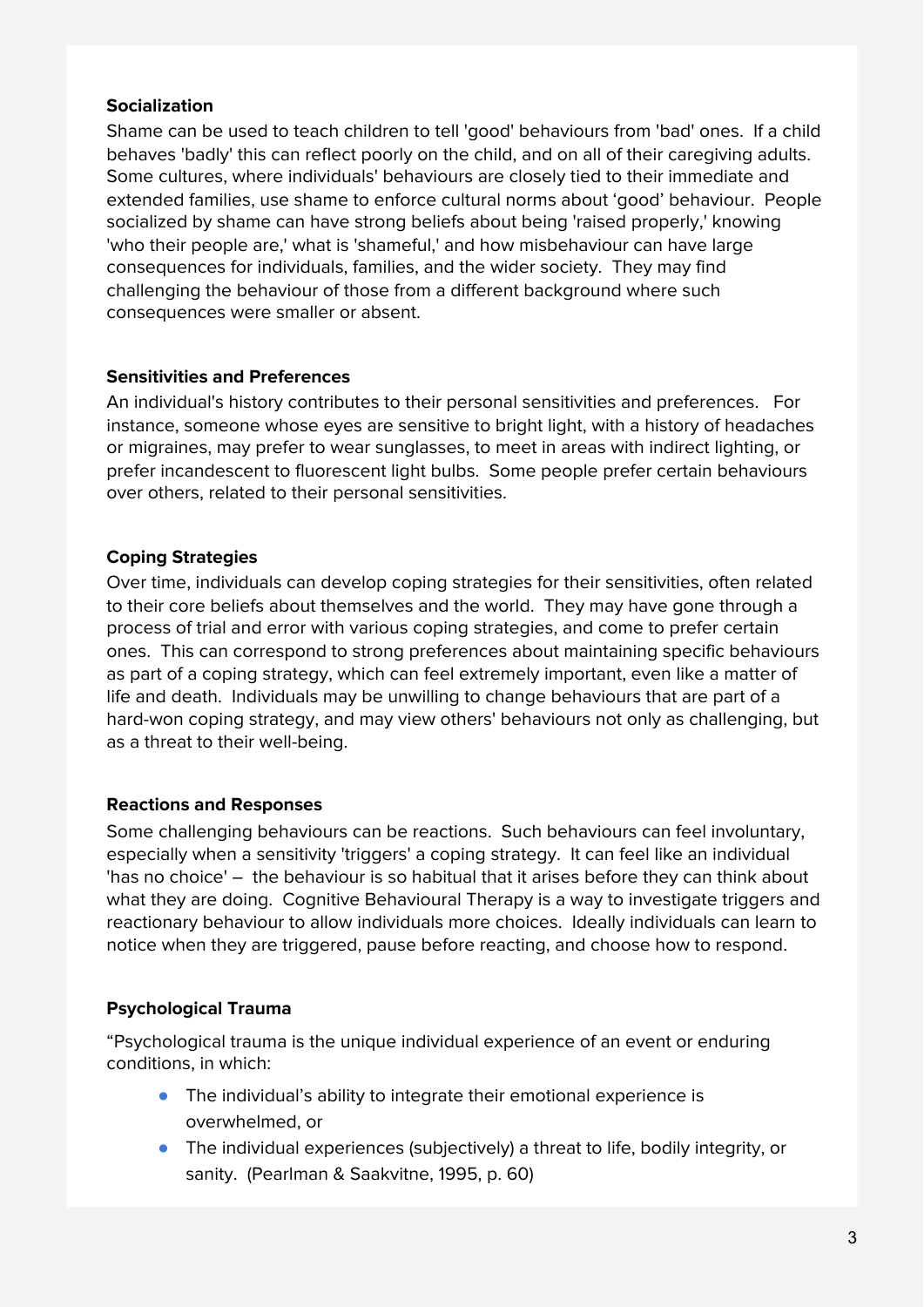#### **Socialization**

Shame can be used to teach children to tell 'good' behaviours from 'bad' ones. If a child behaves 'badly' this can reflect poorly on the child, and on all of their caregiving adults. Some cultures, where individuals' behaviours are closely tied to their immediate and extended families, use shame to enforce cultural norms about 'good' behaviour. People socialized by shame can have strong beliefs about being 'raised properly,' knowing 'who their people are,' what is 'shameful,' and how misbehaviour can have large consequences for individuals, families, and the wider society. They may find challenging the behaviour of those from a different background where such consequences were smaller or absent.

#### **Sensitivities and Preferences**

An individual's history contributes to their personal sensitivities and preferences. For instance, someone whose eyes are sensitive to bright light, with a history of headaches or migraines, may prefer to wear sunglasses, to meet in areas with indirect lighting, or prefer incandescent to fluorescent light bulbs. Some people prefer certain behaviours over others, related to their personal sensitivities.

### **Coping Strategies**

Over time, individuals can develop coping strategies for their sensitivities, often related to their core beliefs about themselves and the world. They may have gone through a process of trial and error with various coping strategies, and come to prefer certain ones. This can correspond to strong preferences about maintaining specific behaviours as part of a coping strategy, which can feel extremely important, even like a matter of life and death. Individuals may be unwilling to change behaviours that are part of a hard-won coping strategy, and may view others' behaviours not only as challenging, but as a threat to their well-being.

#### **Reactions and Responses**

Some challenging behaviours can be reactions. Such behaviours can feel involuntary, especially when a sensitivity 'triggers' a coping strategy. It can feel like an individual 'has no choice' – the behaviour is so habitual that it arises before they can think about what they are doing. Cognitive Behavioural Therapy is a way to investigate triggers and reactionary behaviour to allow individuals more choices. Ideally individuals can learn to notice when they are triggered, pause before reacting, and choose how to respond.

### **Psychological Trauma**

"Psychological trauma is the unique individual experience of an event or enduring conditions, in which:

- The individual's ability to integrate their emotional experience is overwhelmed, or
- The individual experiences (subjectively) a threat to life, bodily integrity, or sanity. (Pearlman & Saakvitne, 1995, p. 60)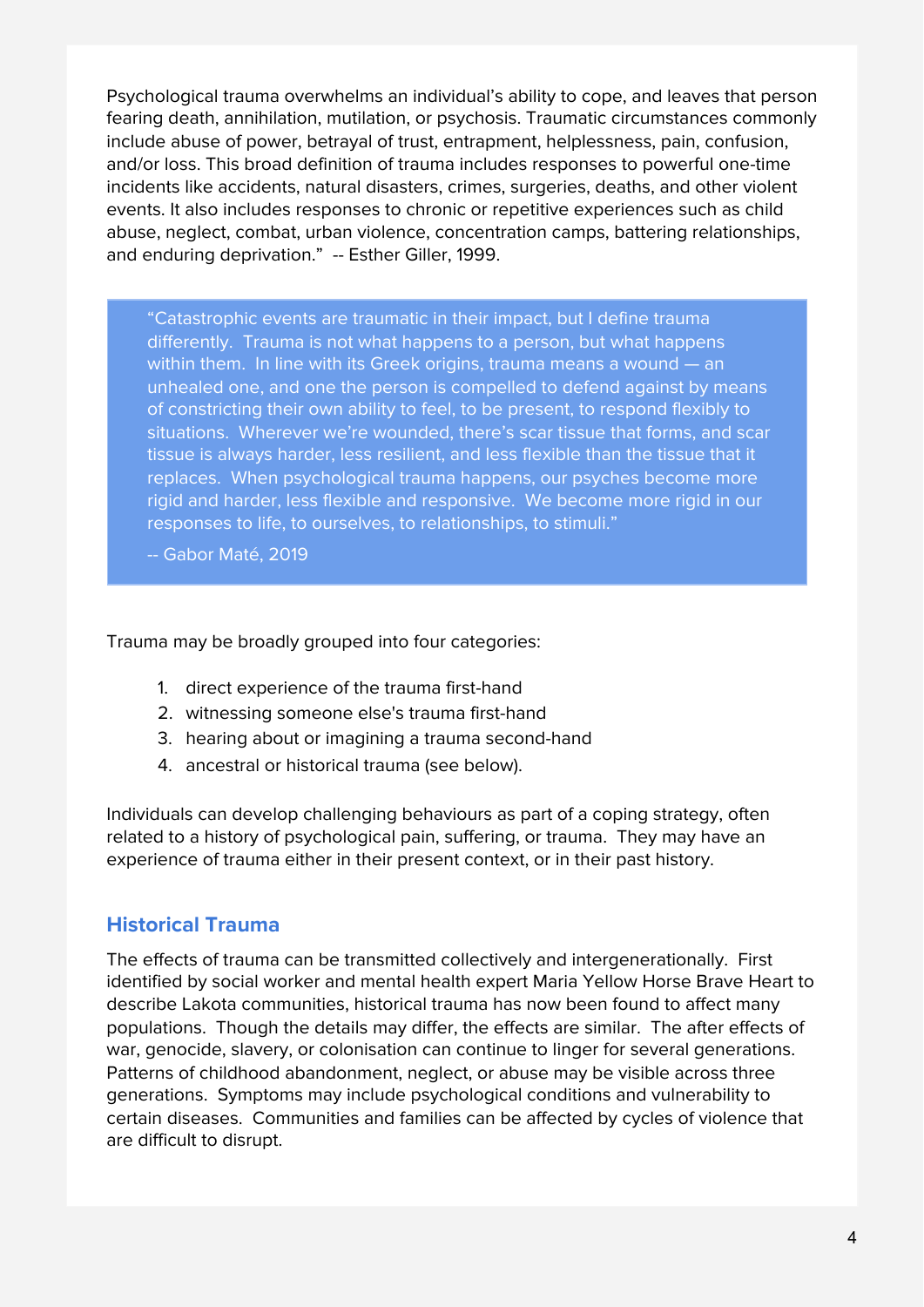Psychological trauma overwhelms an individual's ability to cope, and leaves that person fearing death, annihilation, mutilation, or psychosis. Traumatic circumstances commonly include abuse of power, betrayal of trust, entrapment, helplessness, pain, confusion, and/or loss. This broad definition of trauma includes responses to powerful one-time incidents like accidents, natural disasters, crimes, surgeries, deaths, and other violent events. It also includes responses to chronic or repetitive experiences such as child abuse, neglect, combat, urban violence, concentration camps, battering relationships, and enduring deprivation." -- Esther Giller, 1999.

"Catastrophic events are traumatic in their impact, but I define trauma differently. Trauma is not what happens to a person, but what happens within them. In line with its Greek origins, trauma means a wound — an unhealed one, and one the person is compelled to defend against by means of constricting their own ability to feel, to be present, to respond flexibly to situations. Wherever we're wounded, there's scar tissue that forms, and scar tissue is always harder, less resilient, and less flexible than the tissue that it replaces. When psychological trauma happens, our psyches become more rigid and harder, less flexible and responsive. We become more rigid in our responses to life, to ourselves, to relationships, to stimuli."

-- Gabor Maté, 2019

#### Trauma may be broadly grouped into four categories:

- 1. direct experience of the trauma first-hand
- 2. witnessing someone else's trauma first-hand
- 3. hearing about or imagining a trauma second-hand
- 4. ancestral or historical trauma (see below).

Individuals can develop challenging behaviours as part of a coping strategy, often related to a history of psychological pain, suffering, or trauma. They may have an experience of trauma either in their present context, or in their past history.

### **Historical Trauma**

The effects of trauma can be transmitted collectively and intergenerationally. First identified by social worker and mental health expert Maria Yellow Horse Brave Heart to describe Lakota communities, historical trauma has now been found to affect many populations. Though the details may differ, the effects are similar. The after effects of war, genocide, slavery, or colonisation can continue to linger for several generations. Patterns of childhood abandonment, neglect, or abuse may be visible across three generations. Symptoms may include psychological conditions and vulnerability to certain diseases. Communities and families can be affected by cycles of violence that are difficult to disrupt.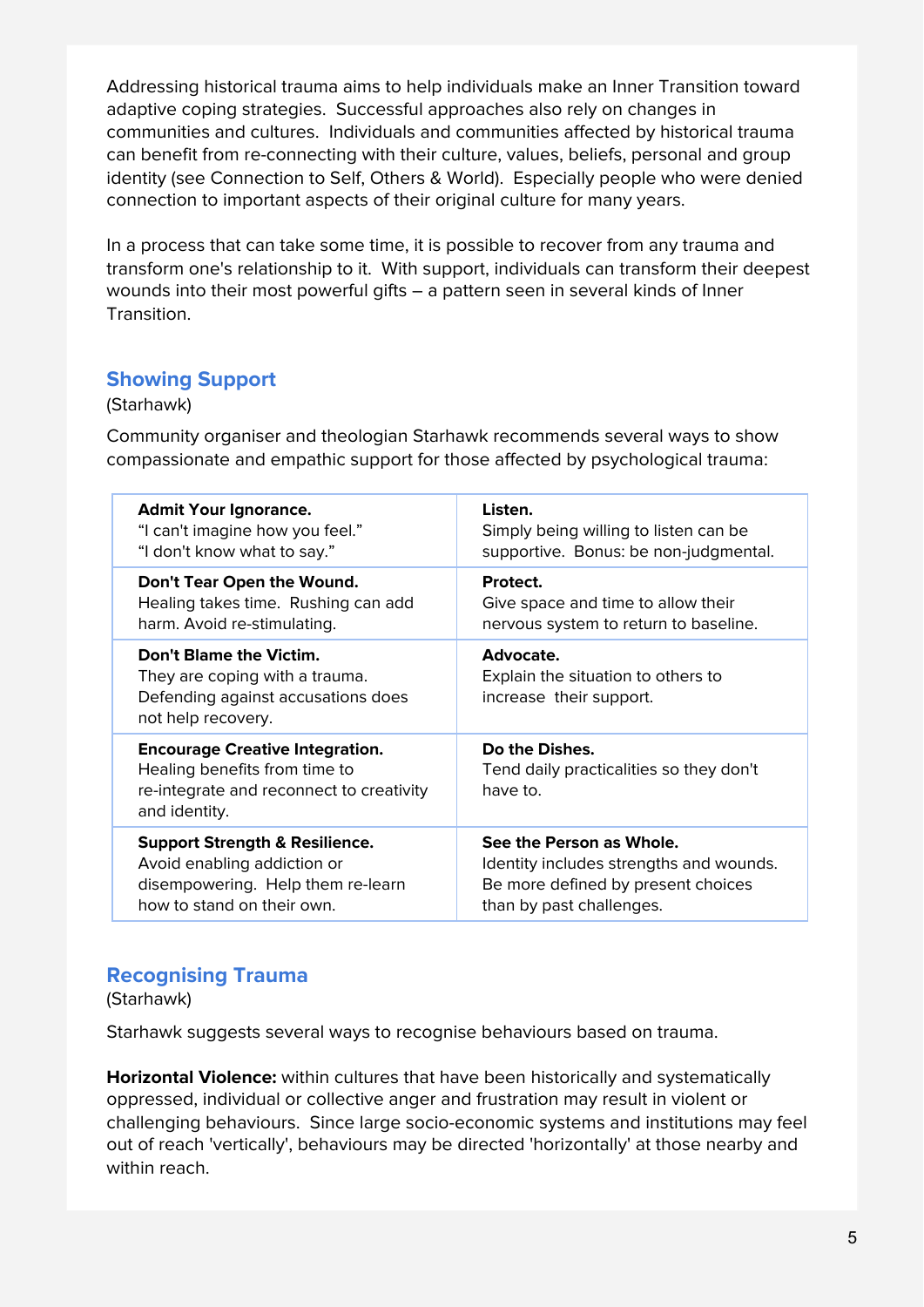Addressing historical trauma aims to help individuals make an Inner Transition toward adaptive coping strategies. Successful approaches also rely on changes in communities and cultures. Individuals and communities affected by historical trauma can benefit from re-connecting with their culture, values, beliefs, personal and group identity (see Connection to Self, Others & World). Especially people who were denied connection to important aspects of their original culture for many years.

In a process that can take some time, it is possible to recover from any trauma and transform one's relationship to it. With support, individuals can transform their deepest wounds into their most powerful gifts – a pattern seen in several kinds of Inner Transition.

### **Showing Support**

#### (Starhawk)

Community organiser and theologian Starhawk recommends several ways to show compassionate and empathic support for those affected by psychological trauma:

| <b>Admit Your Ignorance.</b>                                                                                                         | Listen.                                                                    |
|--------------------------------------------------------------------------------------------------------------------------------------|----------------------------------------------------------------------------|
| "I can't imagine how you feel."                                                                                                      | Simply being willing to listen can be                                      |
| "I don't know what to say."                                                                                                          | supportive. Bonus: be non-judgmental.                                      |
| Don't Tear Open the Wound.                                                                                                           | Protect.                                                                   |
| Healing takes time. Rushing can add                                                                                                  | Give space and time to allow their                                         |
| harm. Avoid re-stimulating.                                                                                                          | nervous system to return to baseline.                                      |
| Don't Blame the Victim.<br>They are coping with a trauma.<br>Defending against accusations does<br>not help recovery.                | Advocate.<br>Explain the situation to others to<br>increase their support. |
| <b>Encourage Creative Integration.</b><br>Healing benefits from time to<br>re-integrate and reconnect to creativity<br>and identity. | Do the Dishes.<br>Tend daily practicalities so they don't<br>have to.      |
| <b>Support Strength &amp; Resilience.</b>                                                                                            | See the Person as Whole.                                                   |
| Avoid enabling addiction or                                                                                                          | Identity includes strengths and wounds.                                    |
| disempowering. Help them re-learn                                                                                                    | Be more defined by present choices                                         |
| how to stand on their own.                                                                                                           | than by past challenges.                                                   |

### **Recognising Trauma**

(Starhawk)

Starhawk suggests several ways to recognise behaviours based on trauma.

**Horizontal Violence:** within cultures that have been historically and systematically oppressed, individual or collective anger and frustration may result in violent or challenging behaviours. Since large socio-economic systems and institutions may feel out of reach 'vertically', behaviours may be directed 'horizontally' at those nearby and within reach.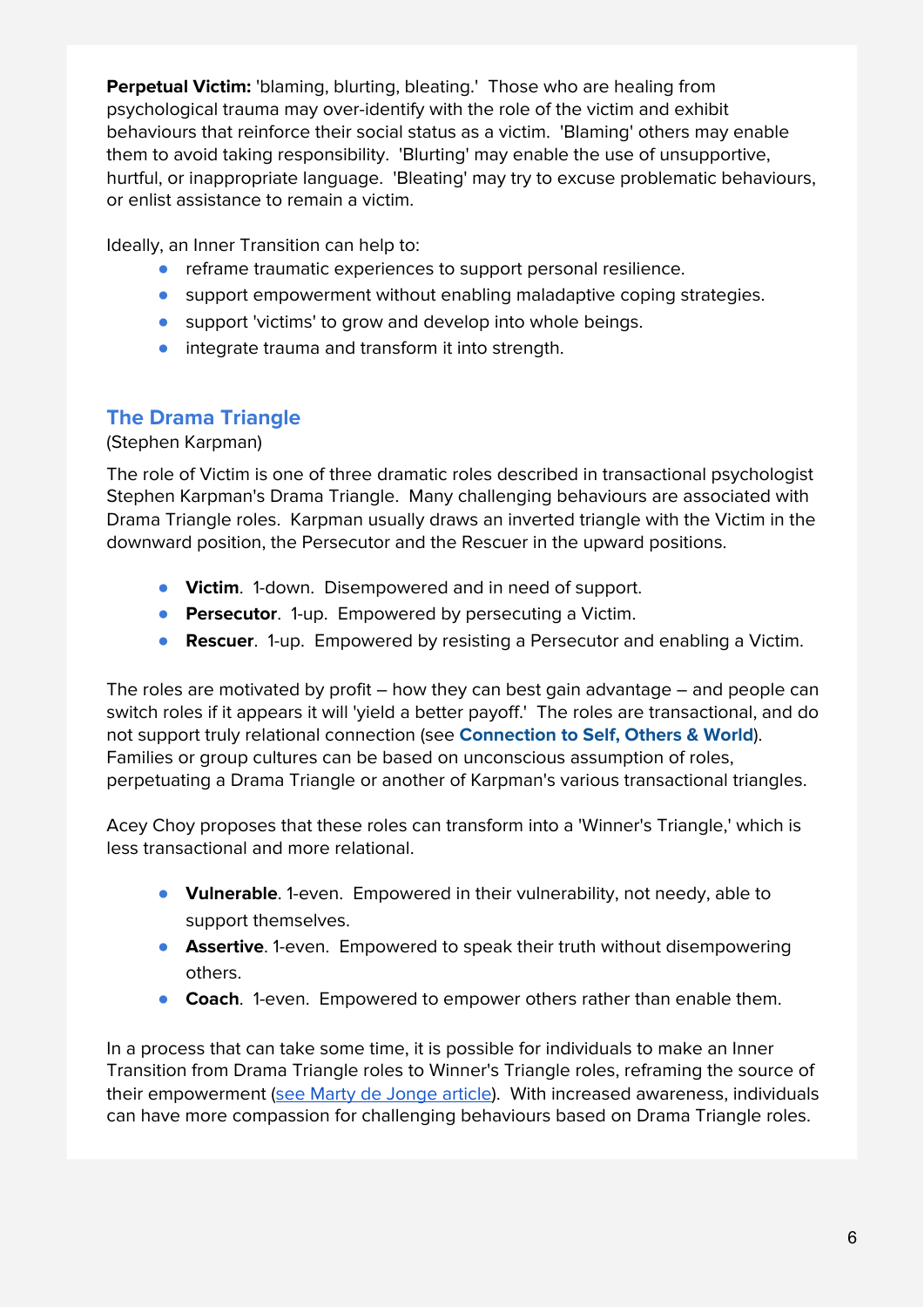**Perpetual Victim:** 'blaming, blurting, bleating.' Those who are healing from psychological trauma may over-identify with the role of the victim and exhibit behaviours that reinforce their social status as a victim. 'Blaming' others may enable them to avoid taking responsibility. 'Blurting' may enable the use of unsupportive, hurtful, or inappropriate language. 'Bleating' may try to excuse problematic behaviours, or enlist assistance to remain a victim.

Ideally, an Inner Transition can help to:

- reframe traumatic experiences to support personal resilience.
- support empowerment without enabling maladaptive coping strategies.
- support 'victims' to grow and develop into whole beings.
- integrate trauma and transform it into strength.

## **The Drama Triangle**

#### (Stephen Karpman)

The role of Victim is one of three dramatic roles described in transactional psychologist Stephen Karpman's Drama Triangle. Many challenging behaviours are associated with Drama Triangle roles. Karpman usually draws an inverted triangle with the Victim in the downward position, the Persecutor and the Rescuer in the upward positions.

- **Victim**. 1-down. Disempowered and in need of support.
- **Persecutor**. 1-up. Empowered by persecuting a Victim.
- **Rescuer**. 1-up. Empowered by resisting a Persecutor and enabling a Victim.

The roles are motivated by profit – how they can best gain advantage – and people can switch roles if it appears it will 'yield a better payoff.' The roles are transactional, and do not support truly relational connection (see **Connection to Self, Others & World**). Families or group cultures can be based on unconscious assumption of roles, perpetuating a Drama Triangle or another of Karpman's various transactional triangles.

Acey Choy proposes that these roles can transform into a 'Winner's Triangle,' which is less transactional and more relational.

- **Vulnerable**. 1-even. Empowered in their vulnerability, not needy, able to support themselves.
- **Assertive**. 1-even. Empowered to speak their truth without disempowering others.
- **Coach**. 1-even. Empowered to empower others rather than enable them.

In a process that can take some time, it is possible for individuals to make an Inner Transition from Drama Triangle roles to Winner's Triangle roles, reframing the source of their empowerment (see Marty de [Jonge](https://medium.com/the-bad-influence/leave-your-drama-triangle-f0667d4e149a) article). With increased awareness, individuals can have more compassion for challenging behaviours based on Drama Triangle roles.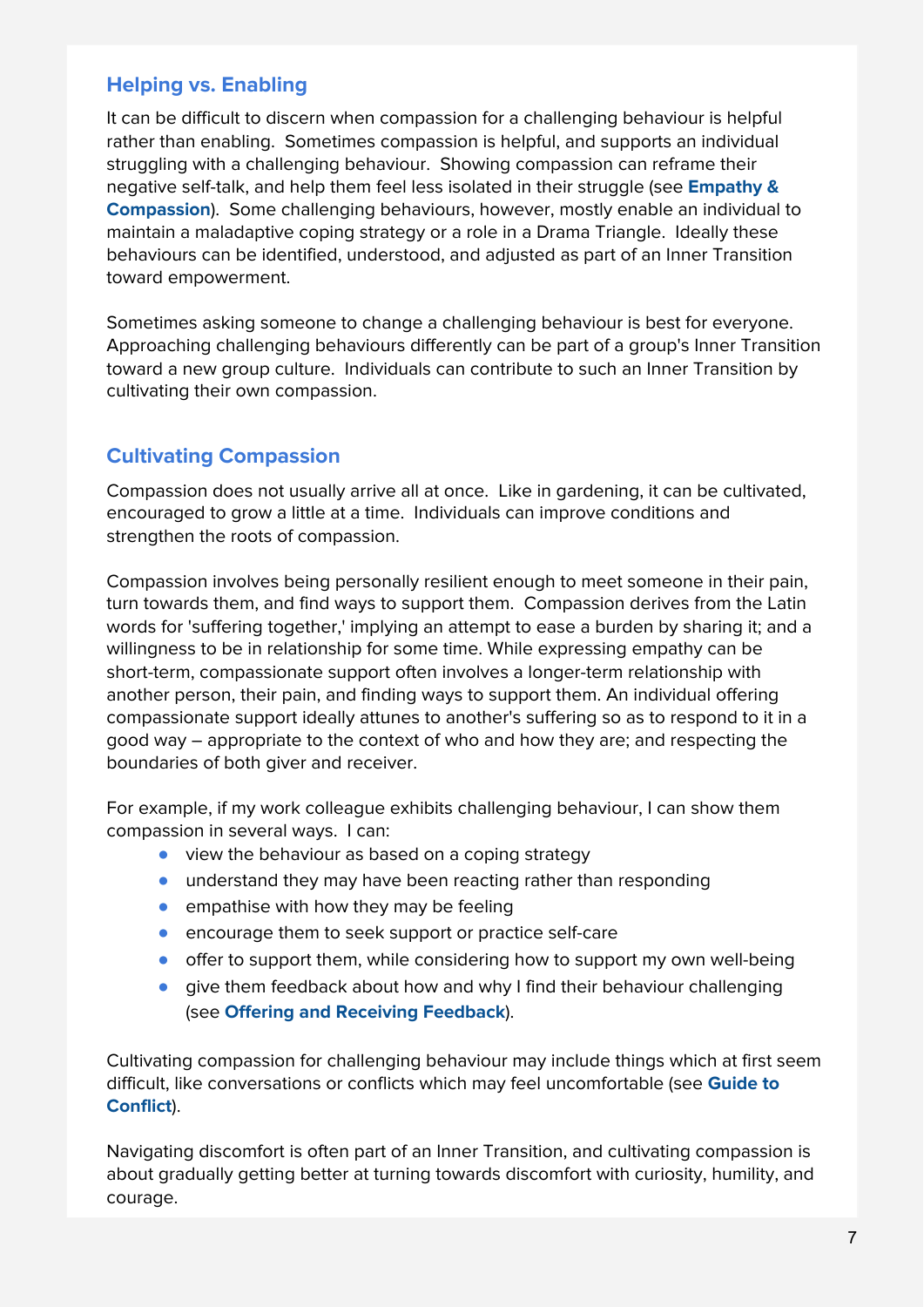## **Helping vs. Enabling**

It can be difficult to discern when compassion for a challenging behaviour is helpful rather than enabling. Sometimes compassion is helpful, and supports an individual struggling with a challenging behaviour. Showing compassion can reframe their negative self-talk, and help them feel less isolated in their struggle (see **Empathy & Compassion**). Some challenging behaviours, however, mostly enable an individual to maintain a maladaptive coping strategy or a role in a Drama Triangle. Ideally these behaviours can be identified, understood, and adjusted as part of an Inner Transition toward empowerment.

Sometimes asking someone to change a challenging behaviour is best for everyone. Approaching challenging behaviours differently can be part of a group's Inner Transition toward a new group culture. Individuals can contribute to such an Inner Transition by cultivating their own compassion.

## **Cultivating Compassion**

Compassion does not usually arrive all at once. Like in gardening, it can be cultivated, encouraged to grow a little at a time. Individuals can improve conditions and strengthen the roots of compassion.

Compassion involves being personally resilient enough to meet someone in their pain, turn towards them, and find ways to support them. Compassion derives from the Latin words for 'suffering together,' implying an attempt to ease a burden by sharing it; and a willingness to be in relationship for some time. While expressing empathy can be short-term, compassionate support often involves a longer-term relationship with another person, their pain, and finding ways to support them. An individual offering compassionate support ideally attunes to another's suffering so as to respond to it in a good way – appropriate to the context of who and how they are; and respecting the boundaries of both giver and receiver.

For example, if my work colleague exhibits challenging behaviour, I can show them compassion in several ways. I can:

- view the behaviour as based on a coping strategy
- understand they may have been reacting rather than responding
- $\bullet$  empathise with how they may be feeling
- encourage them to seek support or practice self-care
- offer to support them, while considering how to support my own well-being
- give them feedback about how and why I find their behaviour challenging (see **Offering and Receiving Feedback**).

Cultivating compassion for challenging behaviour may include things which at first seem difficult, like conversations or conflicts which may feel uncomfortable (see **Guide to Conflict**).

Navigating discomfort is often part of an Inner Transition, and cultivating compassion is about gradually getting better at turning towards discomfort with curiosity, humility, and courage.